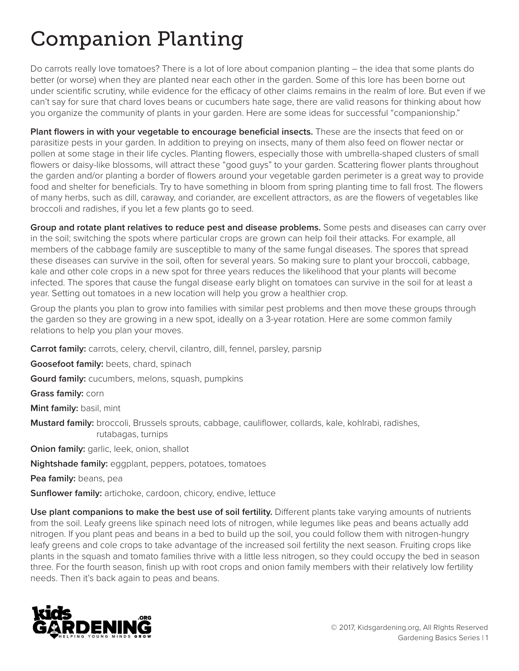## Companion Planting

Do carrots really love tomatoes? There is a lot of lore about companion planting – the idea that some plants do better (or worse) when they are planted near each other in the garden. Some of this lore has been borne out under scientific scrutiny, while evidence for the efficacy of other claims remains in the realm of lore. But even if we can't say for sure that chard loves beans or cucumbers hate sage, there are valid reasons for thinking about how you organize the community of plants in your garden. Here are some ideas for successful "companionship."

**Plant flowers in with your vegetable to encourage beneficial insects.** These are the insects that feed on or parasitize pests in your garden. In addition to preying on insects, many of them also feed on flower nectar or pollen at some stage in their life cycles. Planting flowers, especially those with umbrella-shaped clusters of small flowers or daisy-like blossoms, will attract these "good guys" to your garden. Scattering flower plants throughout the garden and/or planting a border of flowers around your vegetable garden perimeter is a great way to provide food and shelter for beneficials. Try to have something in bloom from spring planting time to fall frost. The flowers of many herbs, such as dill, caraway, and coriander, are excellent attractors, as are the flowers of vegetables like broccoli and radishes, if you let a few plants go to seed.

**Group and rotate plant relatives to reduce pest and disease problems.** Some pests and diseases can carry over in the soil; switching the spots where particular crops are grown can help foil their attacks. For example, all members of the cabbage family are susceptible to many of the same fungal diseases. The spores that spread these diseases can survive in the soil, often for several years. So making sure to plant your broccoli, cabbage, kale and other cole crops in a new spot for three years reduces the likelihood that your plants will become infected. The spores that cause the fungal disease early blight on tomatoes can survive in the soil for at least a year. Setting out tomatoes in a new location will help you grow a healthier crop.

Group the plants you plan to grow into families with similar pest problems and then move these groups through the garden so they are growing in a new spot, ideally on a 3-year rotation. Here are some common family relations to help you plan your moves.

**Carrot family:** carrots, celery, chervil, cilantro, dill, fennel, parsley, parsnip

**Goosefoot family:** beets, chard, spinach

**Gourd family:** cucumbers, melons, squash, pumpkins

**Grass family:** corn

**Mint family:** basil, mint

**Mustard family:** broccoli, Brussels sprouts, cabbage, cauliflower, collards, kale, kohlrabi, radishes, rutabagas, turnips

**Onion family:** garlic, leek, onion, shallot

**Nightshade family:** eggplant, peppers, potatoes, tomatoes

**Pea family:** beans, pea

**Sunflower family:** artichoke, cardoon, chicory, endive, lettuce

**Use plant companions to make the best use of soil fertility.** Different plants take varying amounts of nutrients from the soil. Leafy greens like spinach need lots of nitrogen, while legumes like peas and beans actually add nitrogen. If you plant peas and beans in a bed to build up the soil, you could follow them with nitrogen-hungry leafy greens and cole crops to take advantage of the increased soil fertility the next season. Fruiting crops like plants in the squash and tomato families thrive with a little less nitrogen, so they could occupy the bed in season three. For the fourth season, finish up with root crops and onion family members with their relatively low fertility needs. Then it's back again to peas and beans.